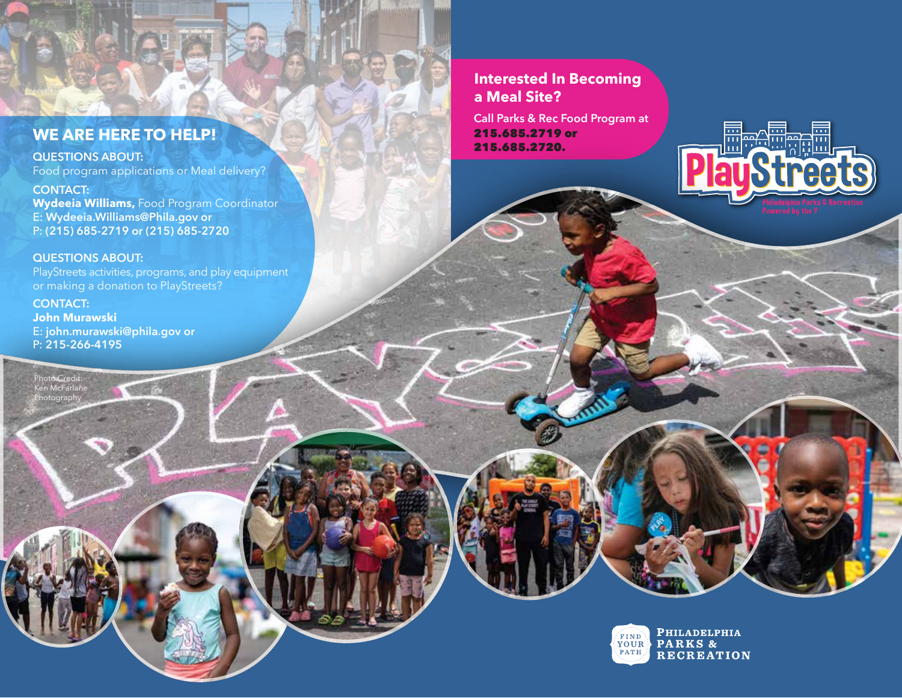## **WE ARE HERE TO HELP!**

#### **QUESTIONS ABOUT:**

Food program applications or Meal delivery?

**CONTACT: Wydeeia Williams,** Food Program Coordinator E: **Wydeeia.Williams@Phila.gov or**  P: **(215) 685-2719 or (215) 685-2720** 

**QUESTIONS ABOUT:** 

Photo Credit: Ken McFarlane Photograph

PlayStreets activities, programs, and play equipment or making a donation to PlayStreets?

**CONTACT: John Murawski** E: **john.murawski@phila.gov or**  P: **215-266-4195**

**Interested In Becoming a Meal Site?** 

**Call Parks & Rec Food Program at** 215.685.2719 or 215.685.2720.